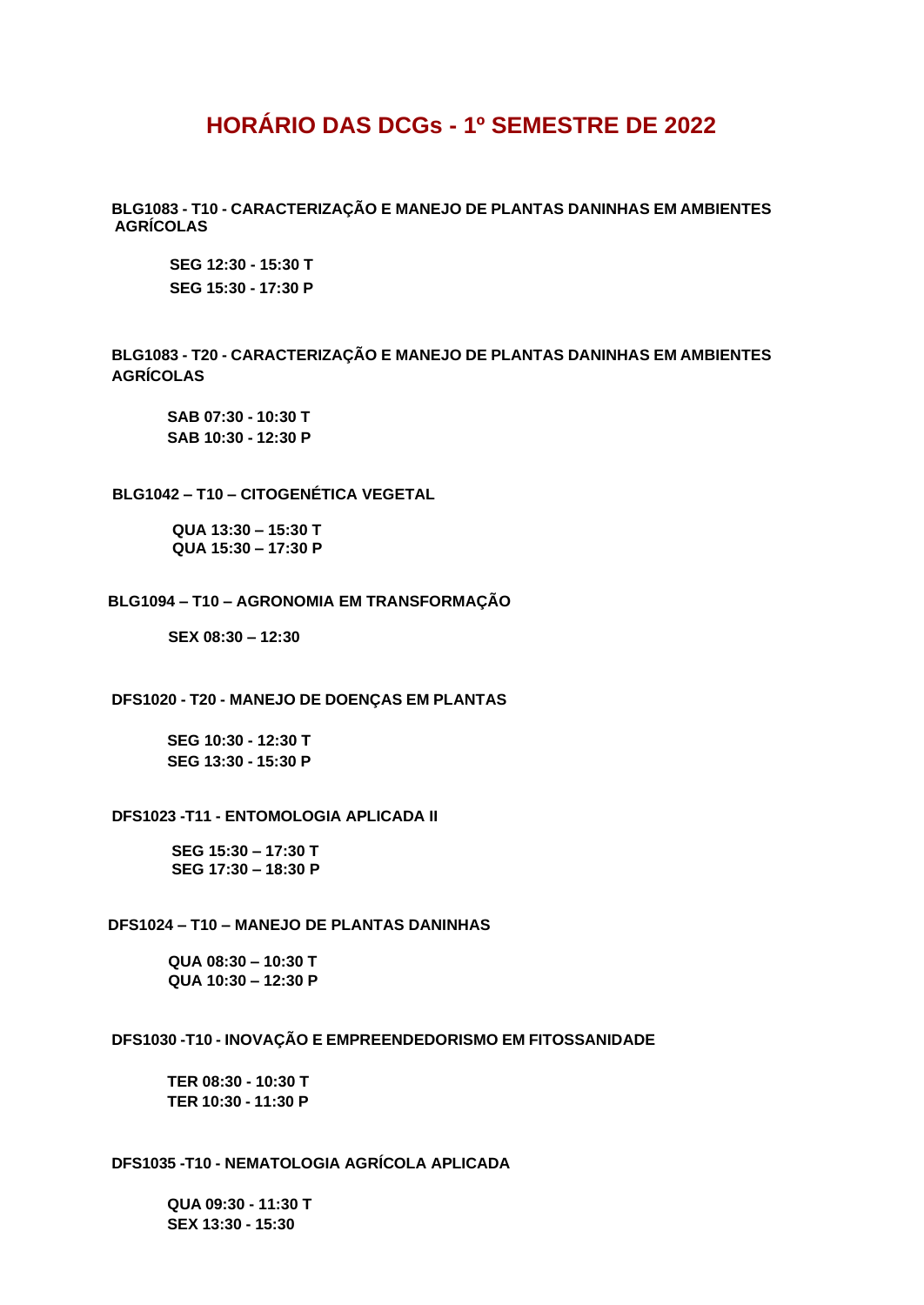# **HORÁRIO DAS DCGs - 1º SEMESTRE DE 2022**

**BLG1083 - T10 - CARACTERIZAÇÃO E MANEJO DE PLANTAS DANINHAS EM AMBIENTES AGRÍCOLAS**

**SEG 12:30 - 15:30 T SEG 15:30 - 17:30 P**

**BLG1083 - T20 - CARACTERIZAÇÃO E MANEJO DE PLANTAS DANINHAS EM AMBIENTES AGRÍCOLAS**

**SAB 07:30 - 10:30 T SAB 10:30 - 12:30 P**

#### **BLG1042 – T10 – CITOGENÉTICA VEGETAL**

 **QUA 13:30 – 15:30 T QUA 15:30 – 17:30 P**

#### **BLG1094 – T10 – AGRONOMIA EM TRANSFORMAÇÃO**

 **SEX 08:30 – 12:30**

**DFS1020 - T20 - MANEJO DE DOENÇAS EM PLANTAS**

**SEG 10:30 - 12:30 T SEG 13:30 - 15:30 P**

## **DFS1023 -T11 - ENTOMOLOGIA APLICADA II**

**SEG 15:30 – 17:30 T SEG 17:30 – 18:30 P**

## **DFS1024 – T10 – MANEJO DE PLANTAS DANINHAS**

**QUA 08:30 – 10:30 T QUA 10:30 – 12:30 P**

#### **DFS1030 -T10 - INOVAÇÃO E EMPREENDEDORISMO EM FITOSSANIDADE**

**TER 08:30 - 10:30 T TER 10:30 - 11:30 P**

## **DFS1035 -T10 - NEMATOLOGIA AGRÍCOLA APLICADA**

**QUA 09:30 - 11:30 T SEX 13:30 - 15:30**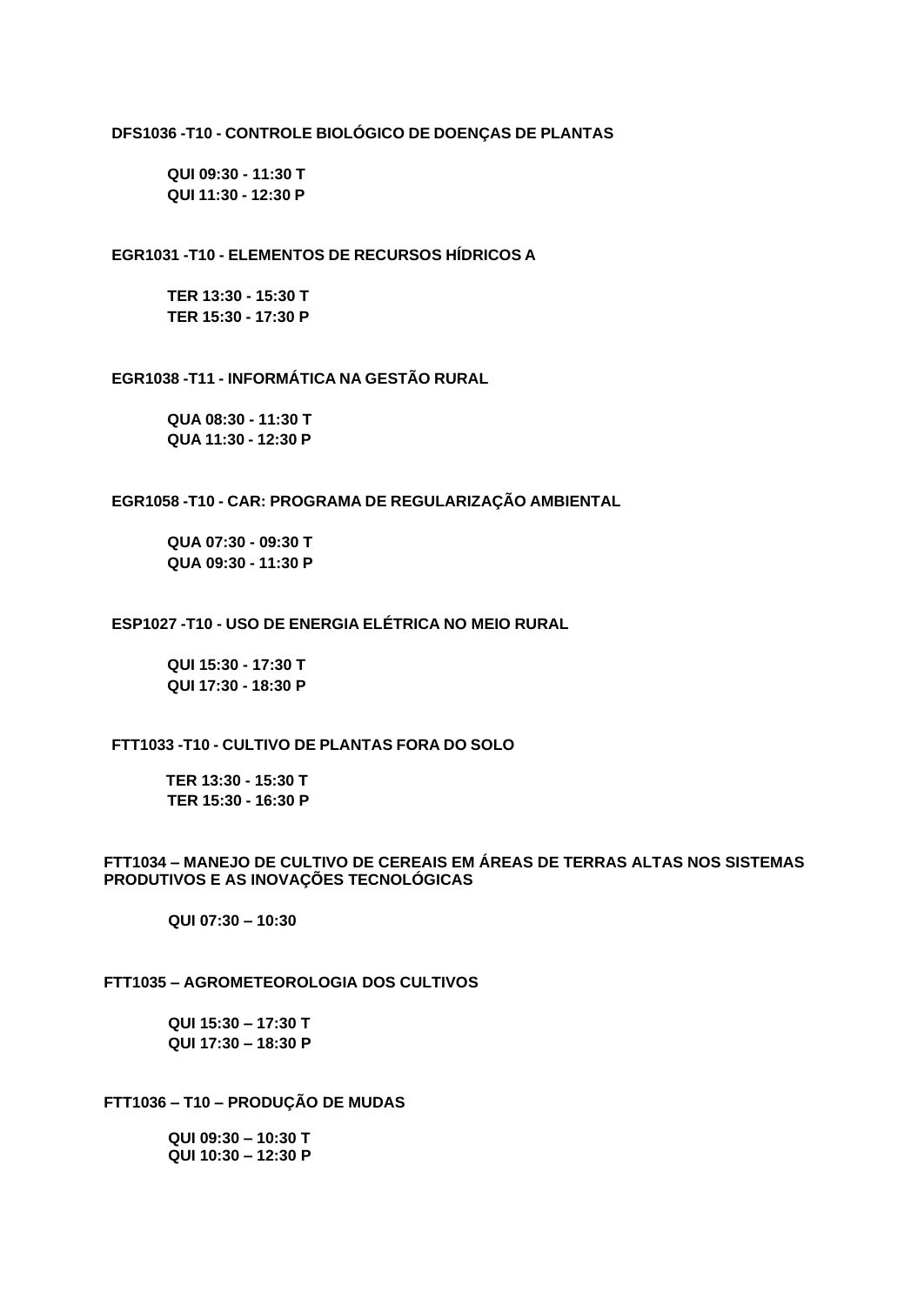## **DFS1036 -T10 - CONTROLE BIOLÓGICO DE DOENÇAS DE PLANTAS**

**QUI 09:30 - 11:30 T QUI 11:30 - 12:30 P**

## **EGR1031 -T10 - ELEMENTOS DE RECURSOS HÍDRICOS A**

**TER 13:30 - 15:30 T TER 15:30 - 17:30 P**

#### **EGR1038 -T11 - INFORMÁTICA NA GESTÃO RURAL**

**QUA 08:30 - 11:30 T QUA 11:30 - 12:30 P**

## **EGR1058 -T10 - CAR: PROGRAMA DE REGULARIZAÇÃO AMBIENTAL**

**QUA 07:30 - 09:30 T QUA 09:30 - 11:30 P**

## **ESP1027 -T10 - USO DE ENERGIA ELÉTRICA NO MEIO RURAL**

**QUI 15:30 - 17:30 T QUI 17:30 - 18:30 P**

#### **FTT1033 -T10 - CULTIVO DE PLANTAS FORA DO SOLO**

 **TER 13:30 - 15:30 T TER 15:30 - 16:30 P**

## **FTT1034 – MANEJO DE CULTIVO DE CEREAIS EM ÁREAS DE TERRAS ALTAS NOS SISTEMAS PRODUTIVOS E AS INOVAÇÕES TECNOLÓGICAS**

 **QUI 07:30 – 10:30**

## **FTT1035 – AGROMETEOROLOGIA DOS CULTIVOS**

 **QUI 15:30 – 17:30 T QUI 17:30 – 18:30 P**

**FTT1036 – T10 – PRODUÇÃO DE MUDAS**

 **QUI 09:30 – 10:30 T QUI 10:30 – 12:30 P**